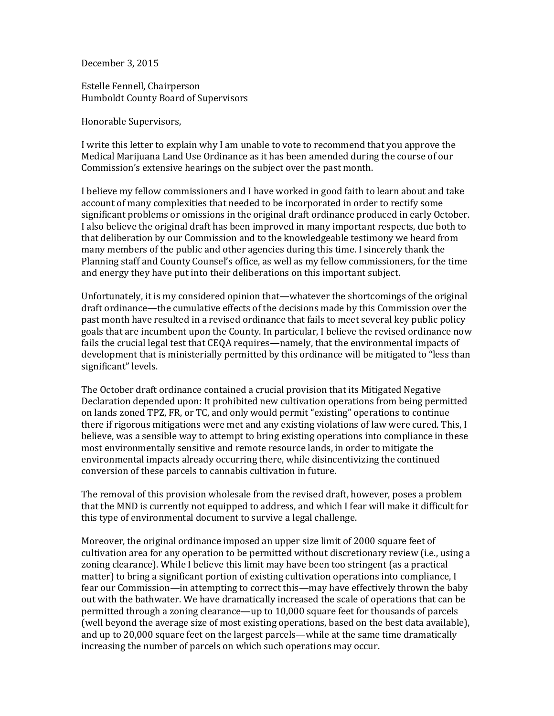December 3, 2015

Estelle Fennell, Chairperson Humboldt County Board of Supervisors

Honorable Supervisors,

I write this letter to explain why I am unable to vote to recommend that you approve the Medical Marijuana Land Use Ordinance as it has been amended during the course of our Commission's extensive hearings on the subject over the past month.

I believe my fellow commissioners and I have worked in good faith to learn about and take account of many complexities that needed to be incorporated in order to rectify some significant problems or omissions in the original draft ordinance produced in early October. I also believe the original draft has been improved in many important respects, due both to that deliberation by our Commission and to the knowledgeable testimony we heard from many members of the public and other agencies during this time. I sincerely thank the Planning staff and County Counsel's office, as well as my fellow commissioners, for the time and energy they have put into their deliberations on this important subject.

Unfortunately, it is my considered opinion that—whatever the shortcomings of the original draft ordinance—the cumulative effects of the decisions made by this Commission over the past month have resulted in a revised ordinance that fails to meet several key public policy goals that are incumbent upon the County. In particular, I believe the revised ordinance now fails the crucial legal test that CEQA requires—namely, that the environmental impacts of development that is ministerially permitted by this ordinance will be mitigated to "less than significant" levels.

The October draft ordinance contained a crucial provision that its Mitigated Negative Declaration depended upon: It prohibited new cultivation operations from being permitted on lands zoned TPZ, FR, or TC, and only would permit "existing" operations to continue there if rigorous mitigations were met and any existing violations of law were cured. This, I believe, was a sensible way to attempt to bring existing operations into compliance in these most environmentally sensitive and remote resource lands, in order to mitigate the environmental impacts already occurring there, while disincentivizing the continued conversion of these parcels to cannabis cultivation in future.

The removal of this provision wholesale from the revised draft, however, poses a problem that the MND is currently not equipped to address, and which I fear will make it difficult for this type of environmental document to survive a legal challenge.

Moreover, the original ordinance imposed an upper size limit of 2000 square feet of cultivation area for any operation to be permitted without discretionary review (i.e., using a zoning clearance). While I believe this limit may have been too stringent (as a practical matter) to bring a significant portion of existing cultivation operations into compliance, I fear our Commission—in attempting to correct this—may have effectively thrown the baby out with the bathwater. We have dramatically increased the scale of operations that can be permitted through a zoning clearance—up to 10,000 square feet for thousands of parcels (well beyond the average size of most existing operations, based on the best data available), and up to 20,000 square feet on the largest parcels—while at the same time dramatically increasing the number of parcels on which such operations may occur.